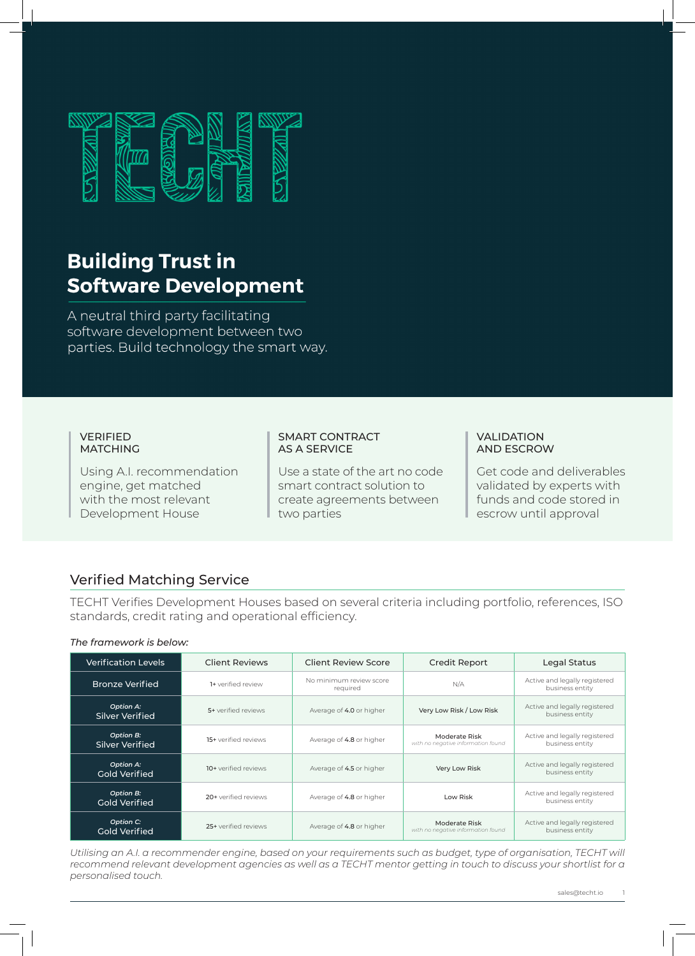

# **Building Trust in Software Development**

A neutral third party facilitating software development between two parties. Build technology the smart way.

#### VERIFIED MATCHING

Using A.I. recommendation engine, get matched with the most relevant Development House

#### SMART CONTRACT AS A SERVICE

Use a state of the art no code smart contract solution to create agreements between two parties

#### VALIDATION AND ESCROW

Get code and deliverables validated by experts with funds and code stored in escrow until approval

## Verified Matching Service

TECHT Verifies Development Houses based on several criteria including portfolio, references, ISO standards, credit rating and operational efficiency.

#### *The framework is below:*

| <b>Verification Levels</b>               | <b>Client Reviews</b> | <b>Client Review Score</b>          | <b>Credit Report</b>                                | Legal Status                                     |
|------------------------------------------|-----------------------|-------------------------------------|-----------------------------------------------------|--------------------------------------------------|
| <b>Bronze Verified</b>                   | 1+ verified review    | No minimum review score<br>required | N/A                                                 | Active and legally registered<br>business entity |
| <b>Option A:</b><br>Silver Verified      | 5+ verified reviews   | Average of 4.0 or higher            | Very Low Risk / Low Risk                            | Active and legally registered<br>business entity |
| Option B:<br>Silver Verified             | 15+ verified reviews  | Average of 4.8 or higher            | Moderate Risk<br>with no negative information found | Active and legally registered<br>business entity |
| <b>Option A:</b><br><b>Gold Verified</b> | 10+ verified reviews  | Average of 4.5 or higher            | Very Low Risk                                       | Active and legally registered<br>business entity |
| Option B:<br><b>Gold Verified</b>        | 20+ verified reviews  | Average of 4.8 or higher            | Low Risk                                            | Active and legally registered<br>business entity |
| Option C:<br><b>Gold Verified</b>        | 25+ verified reviews  | Average of 4.8 or higher            | Moderate Risk<br>with no negative information found | Active and legally registered<br>business entity |

*Utilising an A.I. a recommender engine, based on your requirements such as budget, type of organisation, TECHT will recommend relevant development agencies as well as a TECHT mentor getting in touch to discuss your shortlist for a personalised touch.*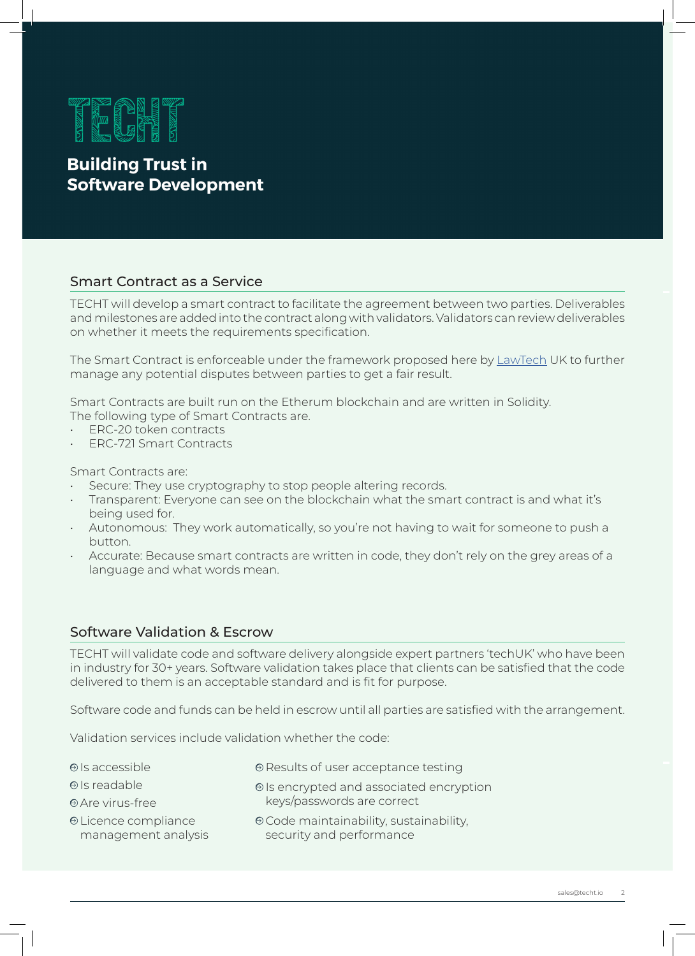

## **Building Trust in Software Development**

### Smart Contract as a Service

TECHT will develop a smart contract to facilitate the agreement between two parties. Deliverables and milestones are added into the contract along with validators. Validators can review deliverables on whether it meets the requirements specification.

The Smart Contract is enforceable under the framework proposed here by LawTech UK to further manage any potential disputes between parties to get a fair result.

Smart Contracts are built run on the Etherum blockchain and are written in Solidity. The following type of Smart Contracts are.

- ERC-20 token contracts
- ERC-721 Smart Contracts

Smart Contracts are:

- Secure: They use cryptography to stop people altering records.
- Transparent: Everyone can see on the blockchain what the smart contract is and what it's being used for.
- Autonomous: They work automatically, so you're not having to wait for someone to push a button.
- Accurate: Because smart contracts are written in code, they don't rely on the grey areas of a language and what words mean.

## Software Validation & Escrow

TECHT will validate code and software delivery alongside expert partners 'techUK' who have been in industry for 30+ years. Software validation takes place that clients can be satisfied that the code delivered to them is an acceptable standard and is fit for purpose.

Software code and funds can be held in escrow until all parties are satisfied with the arrangement.

Validation services include validation whether the code:

- $\Theta$  Is accessible
- Is readable
- Are virus-free
- Licence compliance management analysis
- Code maintainability, sustainability, security and performance

keys/passwords are correct

 $\Theta$  Results of user acceptance testing

 $\Theta$  Is encrypted and associated encryption